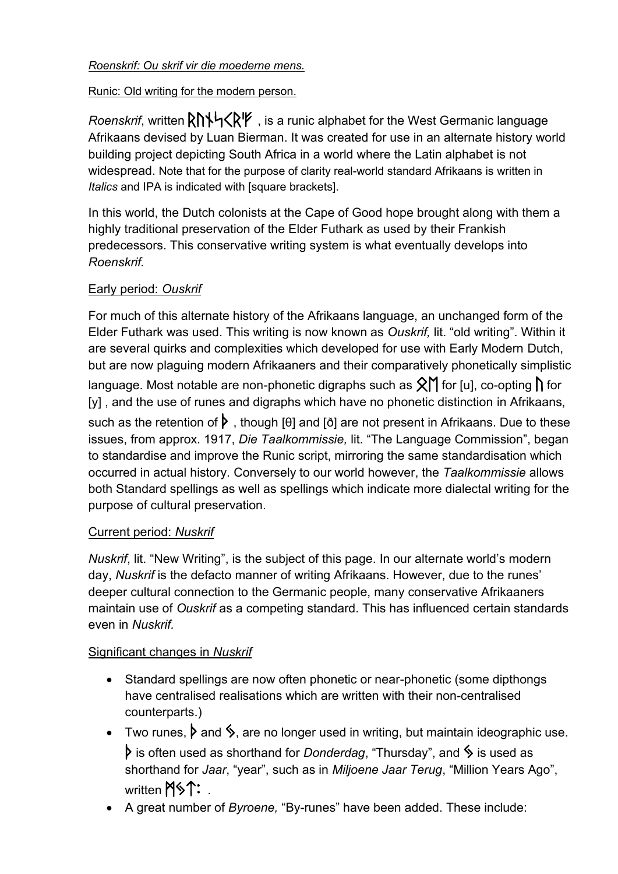### *Roenskrif: Ou skrif vir die moederne mens.*

### Runic: Old writing for the modern person.

*Roenskrif*, written  $R\Lambda$ <sup>L</sup> KRIF , is a runic alphabet for the West Germanic language Afrikaans devised by Luan Bierman. It was created for use in an alternate history world building project depicting South Africa in a world where the Latin alphabet is not widespread. Note that for the purpose of clarity real-world standard Afrikaans is written in *Italics* and IPA is indicated with [square brackets].

In this world, the Dutch colonists at the Cape of Good hope brought along with them a highly traditional preservation of the Elder Futhark as used by their Frankish predecessors. This conservative writing system is what eventually develops into *Roenskrif.*

# Early period: *Ouskrif*

For much of this alternate history of the Afrikaans language, an unchanged form of the Elder Futhark was used. This writing is now known as *Ouskrif,* lit. "old writing". Within it are several quirks and complexities which developed for use with Early Modern Dutch, but are now plaguing modern Afrikaaners and their comparatively phonetically simplistic language. Most notable are non-phonetic digraphs such as  $\hat{X}$  for [u], co-opting  $\hat{I}$  for [y], and the use of runes and digraphs which have no phonetic distinction in Afrikaans, such as the retention of  $\triangleright$ , though [θ] and [ð] are not present in Afrikaans. Due to these issues, from approx. 1917, *Die Taalkommissie,* lit. "The Language Commission", began to standardise and improve the Runic script, mirroring the same standardisation which occurred in actual history. Conversely to our world however, the *Taalkommissie* allows both Standard spellings as well as spellings which indicate more dialectal writing for the purpose of cultural preservation.

#### Current period: *Nuskrif*

*Nuskrif*, lit. "New Writing", is the subject of this page. In our alternate world's modern day, *Nuskrif* is the defacto manner of writing Afrikaans. However, due to the runes' deeper cultural connection to the Germanic people, many conservative Afrikaaners maintain use of *Ouskrif* as a competing standard. This has influenced certain standards even in *Nuskrif.*

# Significant changes in *Nuskrif*

- Standard spellings are now often phonetic or near-phonetic (some dipthongs have centralised realisations which are written with their non-centralised counterparts.)
- Two runes,  $\triangleright$  and  $\triangleright$ , are no longer used in writing, but maintain ideographic use.  $\triangleright$  is often used as shorthand for *Donderdag*, "Thursday", and  $\triangleright$  is used as shorthand for *Jaar*, "year", such as in *Miljoene Jaar Terug*, "Million Years Ago", written  $M\$ ^:
- A great number of *Byroene,* "By-runes" have been added. These include: